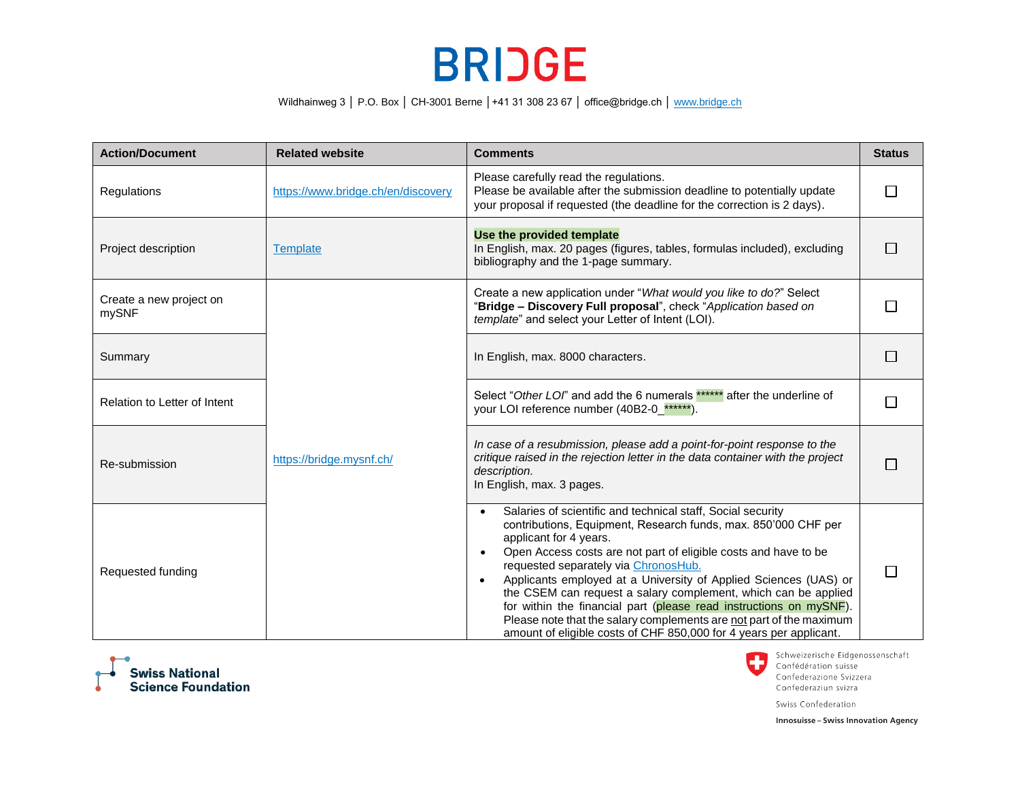## **BRIDGE**

Wildhainweg 3 | P.O. Box | CH-3001 Berne | +41 31 308 23 67 | office@bridge.ch | www.bridge.ch

| <b>Action/Document</b>           | <b>Related website</b>             | <b>Comments</b>                                                                                                                                                                                                                                                                                                                                                                                                                                                                                                                                                                                                             | <b>Status</b>  |
|----------------------------------|------------------------------------|-----------------------------------------------------------------------------------------------------------------------------------------------------------------------------------------------------------------------------------------------------------------------------------------------------------------------------------------------------------------------------------------------------------------------------------------------------------------------------------------------------------------------------------------------------------------------------------------------------------------------------|----------------|
| Regulations                      | https://www.bridge.ch/en/discovery | Please carefully read the regulations.<br>Please be available after the submission deadline to potentially update<br>your proposal if requested (the deadline for the correction is 2 days).                                                                                                                                                                                                                                                                                                                                                                                                                                |                |
| Project description              | <b>Template</b>                    | Use the provided template<br>In English, max. 20 pages (figures, tables, formulas included), excluding<br>bibliography and the 1-page summary.                                                                                                                                                                                                                                                                                                                                                                                                                                                                              |                |
| Create a new project on<br>mySNF |                                    | Create a new application under "What would you like to do?" Select<br>"Bridge - Discovery Full proposal", check "Application based on<br>template" and select your Letter of Intent (LOI).                                                                                                                                                                                                                                                                                                                                                                                                                                  |                |
| Summary                          | https://bridge.mysnf.ch/           | In English, max. 8000 characters.                                                                                                                                                                                                                                                                                                                                                                                                                                                                                                                                                                                           | $\Box$         |
| Relation to Letter of Intent     |                                    | Select "Other LOI" and add the 6 numerals ****** after the underline of<br>your LOI reference number (40B2-0_******).                                                                                                                                                                                                                                                                                                                                                                                                                                                                                                       |                |
| Re-submission                    |                                    | In case of a resubmission, please add a point-for-point response to the<br>critique raised in the rejection letter in the data container with the project<br>description.<br>In English, max. 3 pages.                                                                                                                                                                                                                                                                                                                                                                                                                      | П              |
| Requested funding                |                                    | Salaries of scientific and technical staff, Social security<br>contributions, Equipment, Research funds, max. 850'000 CHF per<br>applicant for 4 years.<br>Open Access costs are not part of eligible costs and have to be<br>requested separately via ChronosHub.<br>Applicants employed at a University of Applied Sciences (UAS) or<br>the CSEM can request a salary complement, which can be applied<br>for within the financial part (please read instructions on mySNF).<br>Please note that the salary complements are not part of the maximum<br>amount of eligible costs of CHF 850,000 for 4 years per applicant. | $\blacksquare$ |



Schweizerische Eidgenossenschaft C Confédération suisse Confederazione Svizzera Confederaziun svizra

Swiss Confederation

**Innosuisse - Swiss Innovation Agency**